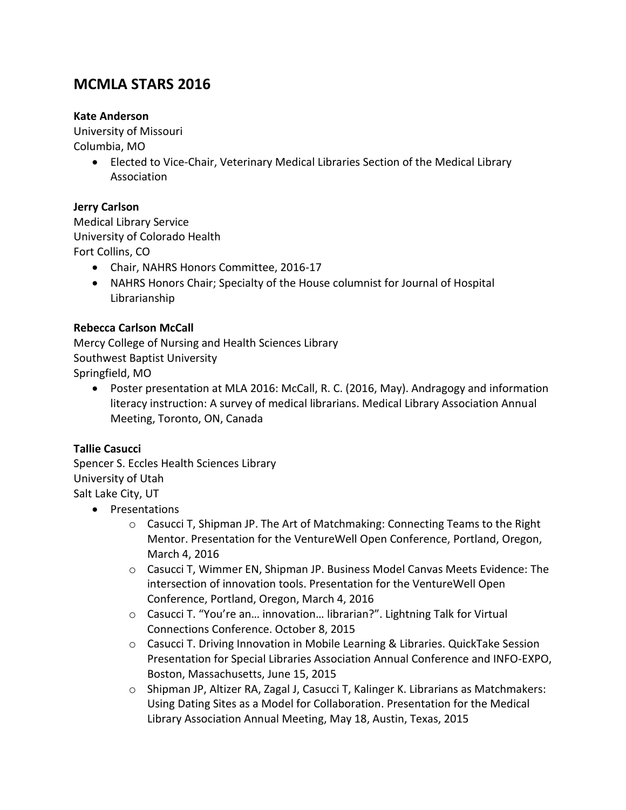# **MCMLA STARS 2016**

#### **Kate Anderson**

University of Missouri Columbia, MO

> Elected to Vice-Chair, Veterinary Medical Libraries Section of the Medical Library Association

#### **Jerry Carlson**

Medical Library Service University of Colorado Health Fort Collins, CO

- Chair, NAHRS Honors Committee, 2016-17
- NAHRS Honors Chair; Specialty of the House columnist for Journal of Hospital Librarianship

#### **Rebecca Carlson McCall**

Mercy College of Nursing and Health Sciences Library Southwest Baptist University Springfield, MO

 Poster presentation at MLA 2016: McCall, R. C. (2016, May). Andragogy and information literacy instruction: A survey of medical librarians. Medical Library Association Annual Meeting, Toronto, ON, Canada

#### **Tallie Casucci**

Spencer S. Eccles Health Sciences Library University of Utah Salt Lake City, UT

- Presentations
	- $\circ$  Casucci T, Shipman JP. The Art of Matchmaking: Connecting Teams to the Right Mentor. Presentation for the VentureWell Open Conference, Portland, Oregon, March 4, 2016
	- o Casucci T, Wimmer EN, Shipman JP. Business Model Canvas Meets Evidence: The intersection of innovation tools. Presentation for the VentureWell Open Conference, Portland, Oregon, March 4, 2016
	- o Casucci T. "You're an… innovation… librarian?". Lightning Talk for Virtual Connections Conference. October 8, 2015
	- o Casucci T. Driving Innovation in Mobile Learning & Libraries. QuickTake Session Presentation for Special Libraries Association Annual Conference and INFO-EXPO, Boston, Massachusetts, June 15, 2015
	- o Shipman JP, Altizer RA, Zagal J, Casucci T, Kalinger K. Librarians as Matchmakers: Using Dating Sites as a Model for Collaboration. Presentation for the Medical Library Association Annual Meeting, May 18, Austin, Texas, 2015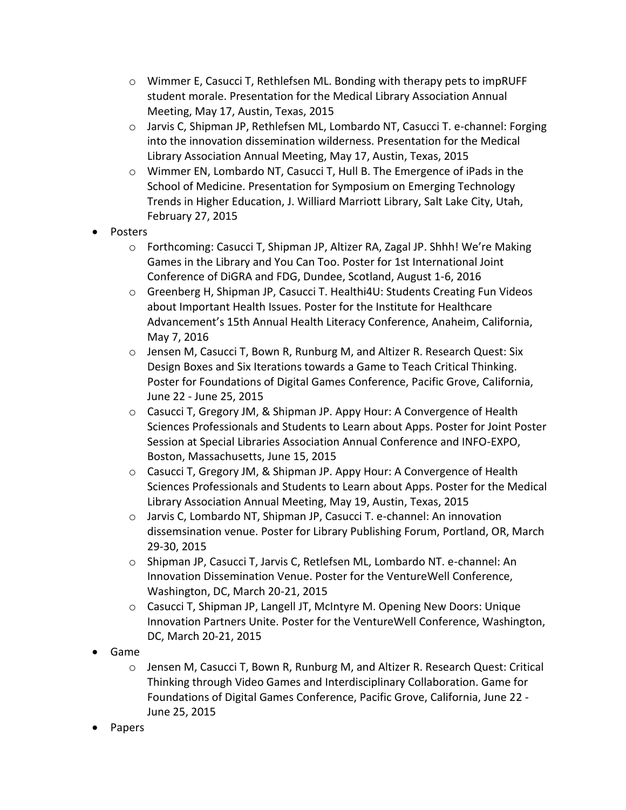- o Wimmer E, Casucci T, Rethlefsen ML. Bonding with therapy pets to impRUFF student morale. Presentation for the Medical Library Association Annual Meeting, May 17, Austin, Texas, 2015
- o Jarvis C, Shipman JP, Rethlefsen ML, Lombardo NT, Casucci T. e-channel: Forging into the innovation dissemination wilderness. Presentation for the Medical Library Association Annual Meeting, May 17, Austin, Texas, 2015
- o Wimmer EN, Lombardo NT, Casucci T, Hull B. The Emergence of iPads in the School of Medicine. Presentation for Symposium on Emerging Technology Trends in Higher Education, J. Williard Marriott Library, Salt Lake City, Utah, February 27, 2015
- Posters
	- o Forthcoming: Casucci T, Shipman JP, Altizer RA, Zagal JP. Shhh! We're Making Games in the Library and You Can Too. Poster for 1st International Joint Conference of DiGRA and FDG, Dundee, Scotland, August 1-6, 2016
	- o Greenberg H, Shipman JP, Casucci T. Healthi4U: Students Creating Fun Videos about Important Health Issues. Poster for the Institute for Healthcare Advancement's 15th Annual Health Literacy Conference, Anaheim, California, May 7, 2016
	- o Jensen M, Casucci T, Bown R, Runburg M, and Altizer R. Research Quest: Six Design Boxes and Six Iterations towards a Game to Teach Critical Thinking. Poster for Foundations of Digital Games Conference, Pacific Grove, California, June 22 - June 25, 2015
	- $\circ$  Casucci T, Gregory JM, & Shipman JP. Appy Hour: A Convergence of Health Sciences Professionals and Students to Learn about Apps. Poster for Joint Poster Session at Special Libraries Association Annual Conference and INFO-EXPO, Boston, Massachusetts, June 15, 2015
	- $\circ$  Casucci T, Gregory JM, & Shipman JP. Appy Hour: A Convergence of Health Sciences Professionals and Students to Learn about Apps. Poster for the Medical Library Association Annual Meeting, May 19, Austin, Texas, 2015
	- o Jarvis C, Lombardo NT, Shipman JP, Casucci T. e-channel: An innovation dissemsination venue. Poster for Library Publishing Forum, Portland, OR, March 29-30, 2015
	- o Shipman JP, Casucci T, Jarvis C, Retlefsen ML, Lombardo NT. e-channel: An Innovation Dissemination Venue. Poster for the VentureWell Conference, Washington, DC, March 20-21, 2015
	- $\circ$  Casucci T, Shipman JP, Langell JT, McIntyre M. Opening New Doors: Unique Innovation Partners Unite. Poster for the VentureWell Conference, Washington, DC, March 20-21, 2015
- Game
	- o Jensen M, Casucci T, Bown R, Runburg M, and Altizer R. Research Quest: Critical Thinking through Video Games and Interdisciplinary Collaboration. Game for Foundations of Digital Games Conference, Pacific Grove, California, June 22 - June 25, 2015
- Papers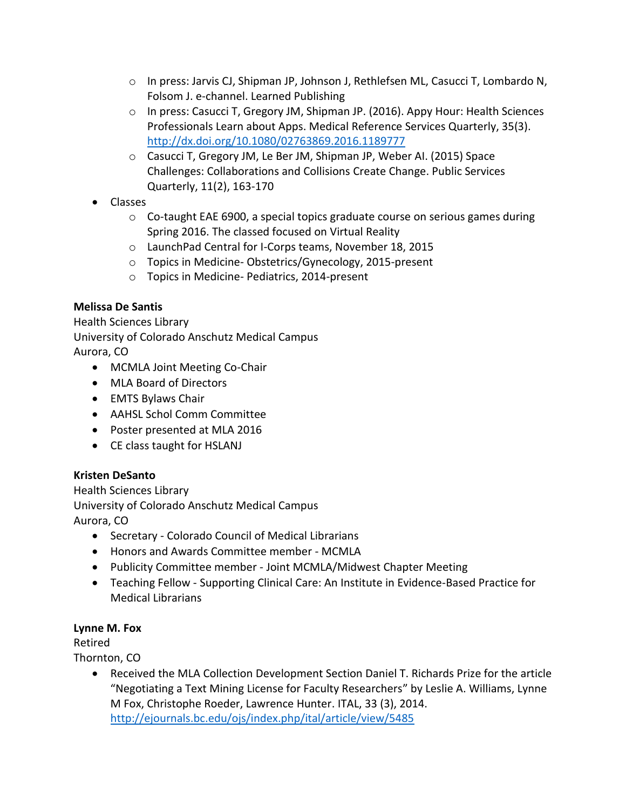- o In press: Jarvis CJ, Shipman JP, Johnson J, Rethlefsen ML, Casucci T, Lombardo N, Folsom J. e-channel. Learned Publishing
- o In press: Casucci T, Gregory JM, Shipman JP. (2016). Appy Hour: Health Sciences Professionals Learn about Apps. Medical Reference Services Quarterly, 35(3). <http://dx.doi.org/10.1080/02763869.2016.1189777>
- o Casucci T, Gregory JM, Le Ber JM, Shipman JP, Weber AI. (2015) Space Challenges: Collaborations and Collisions Create Change. Public Services Quarterly, 11(2), 163-170
- Classes
	- $\circ$  Co-taught EAE 6900, a special topics graduate course on serious games during Spring 2016. The classed focused on Virtual Reality
	- o LaunchPad Central for I-Corps teams, November 18, 2015
	- o Topics in Medicine- Obstetrics/Gynecology, 2015-present
	- o Topics in Medicine- Pediatrics, 2014-present

# **Melissa De Santis**

Health Sciences Library University of Colorado Anschutz Medical Campus Aurora, CO

- MCMLA Joint Meeting Co-Chair
- MLA Board of Directors
- EMTS Bylaws Chair
- AAHSL Schol Comm Committee
- Poster presented at MLA 2016
- CE class taught for HSLANJ

# **Kristen DeSanto**

Health Sciences Library University of Colorado Anschutz Medical Campus Aurora, CO

- Secretary Colorado Council of Medical Librarians
- Honors and Awards Committee member MCMLA
- Publicity Committee member Joint MCMLA/Midwest Chapter Meeting
- Teaching Fellow Supporting Clinical Care: An Institute in Evidence-Based Practice for Medical Librarians

# **Lynne M. Fox**

Retired

Thornton, CO

 Received the MLA Collection Development Section Daniel T. Richards Prize for the article "Negotiating a Text Mining License for Faculty Researchers" by Leslie A. Williams, Lynne M Fox, Christophe Roeder, Lawrence Hunter. ITAL, 33 (3), 2014. <http://ejournals.bc.edu/ojs/index.php/ital/article/view/5485>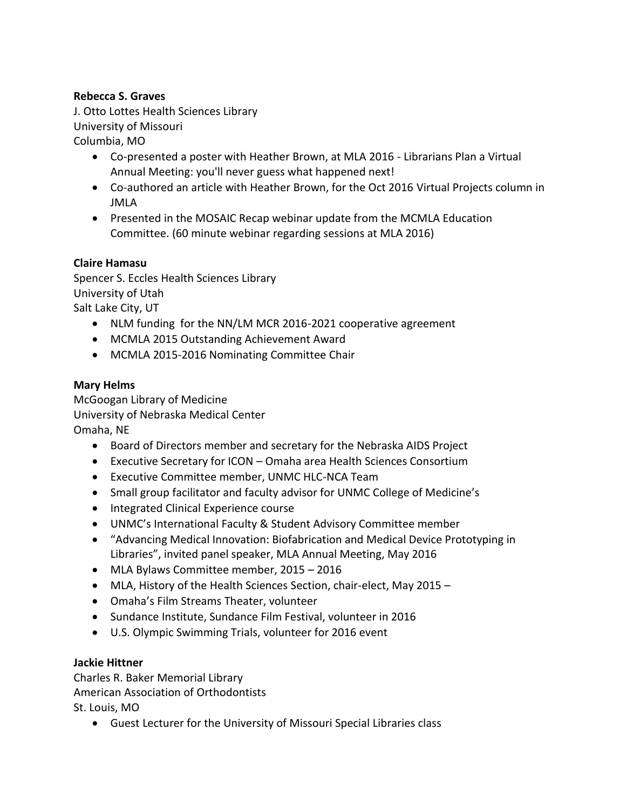#### **Rebecca S. Graves**

J. Otto Lottes Health Sciences Library University of Missouri Columbia, MO

- Co-presented a poster with Heather Brown, at MLA 2016 Librarians Plan a Virtual Annual Meeting: you'll never guess what happened next!
- Co-authored an article with Heather Brown, for the Oct 2016 Virtual Projects column in JMLA
- Presented in the MOSAIC Recap webinar update from the MCMLA Education Committee. (60 minute webinar regarding sessions at MLA 2016)

#### **Claire Hamasu**

Spencer S. Eccles Health Sciences Library University of Utah Salt Lake City, UT

- NLM funding for the NN/LM MCR 2016-2021 cooperative agreement
- MCMLA 2015 Outstanding Achievement Award
- MCMLA 2015-2016 Nominating Committee Chair

#### **Mary Helms**

McGoogan Library of Medicine University of Nebraska Medical Center Omaha, NE

- Board of Directors member and secretary for the Nebraska AIDS Project
- Executive Secretary for ICON Omaha area Health Sciences Consortium
- Executive Committee member, UNMC HLC-NCA Team
- Small group facilitator and faculty advisor for UNMC College of Medicine's
- Integrated Clinical Experience course
- UNMC's International Faculty & Student Advisory Committee member
- "Advancing Medical Innovation: Biofabrication and Medical Device Prototyping in Libraries", invited panel speaker, MLA Annual Meeting, May 2016
- MLA Bylaws Committee member, 2015 2016
- MLA, History of the Health Sciences Section, chair-elect, May 2015 –
- Omaha's Film Streams Theater, volunteer
- Sundance Institute, Sundance Film Festival, volunteer in 2016
- U.S. Olympic Swimming Trials, volunteer for 2016 event

#### **Jackie Hittner**

Charles R. Baker Memorial Library American Association of Orthodontists St. Louis, MO

Guest Lecturer for the University of Missouri Special Libraries class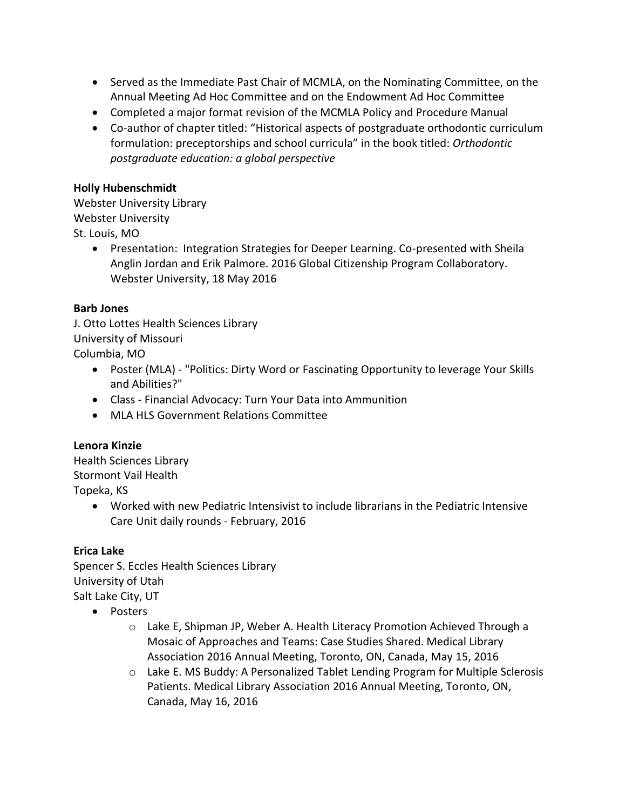- Served as the Immediate Past Chair of MCMLA, on the Nominating Committee, on the Annual Meeting Ad Hoc Committee and on the Endowment Ad Hoc Committee
- Completed a major format revision of the MCMLA Policy and Procedure Manual
- Co-author of chapter titled: "Historical aspects of postgraduate orthodontic curriculum formulation: preceptorships and school curricula" in the book titled: *Orthodontic postgraduate education: a global perspective*

#### **Holly Hubenschmidt**

Webster University Library Webster University St. Louis, MO

> Presentation: Integration Strategies for Deeper Learning. Co-presented with Sheila Anglin Jordan and Erik Palmore. 2016 Global Citizenship Program Collaboratory. Webster University, 18 May 2016

### **Barb Jones**

J. Otto Lottes Health Sciences Library University of Missouri Columbia, MO

- Poster (MLA) "Politics: Dirty Word or Fascinating Opportunity to leverage Your Skills and Abilities?"
- Class Financial Advocacy: Turn Your Data into Ammunition
- MLA HLS Government Relations Committee

# **Lenora Kinzie**

Health Sciences Library Stormont Vail Health Topeka, KS

> Worked with new Pediatric Intensivist to include librarians in the Pediatric Intensive Care Unit daily rounds - February, 2016

#### **Erica Lake**

Spencer S. Eccles Health Sciences Library University of Utah Salt Lake City, UT

- Posters
	- o Lake E, Shipman JP, Weber A. Health Literacy Promotion Achieved Through a Mosaic of Approaches and Teams: Case Studies Shared. Medical Library Association 2016 Annual Meeting, Toronto, ON, Canada, May 15, 2016
	- $\circ$  Lake E. MS Buddy: A Personalized Tablet Lending Program for Multiple Sclerosis Patients. Medical Library Association 2016 Annual Meeting, Toronto, ON, Canada, May 16, 2016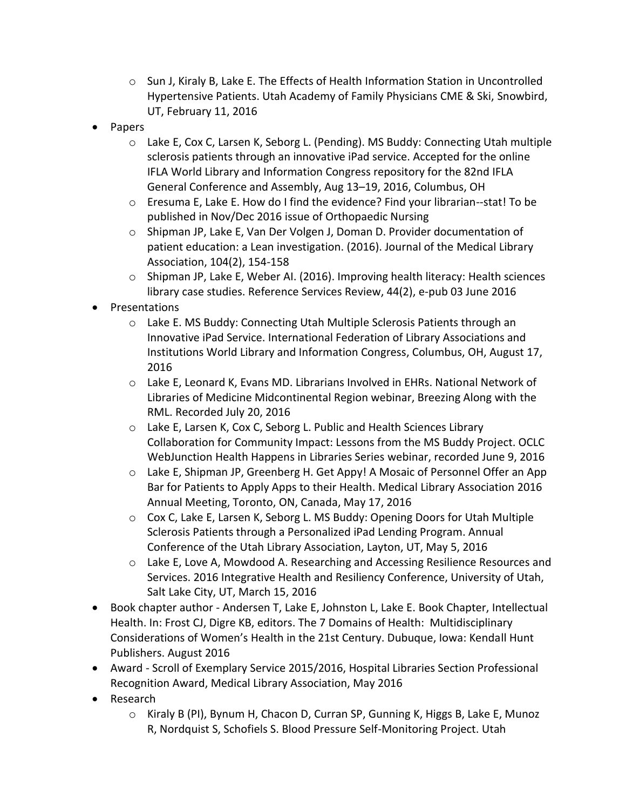- $\circ$  Sun J, Kiraly B, Lake E. The Effects of Health Information Station in Uncontrolled Hypertensive Patients. Utah Academy of Family Physicians CME & Ski, Snowbird, UT, February 11, 2016
- Papers
	- $\circ$  Lake E, Cox C, Larsen K, Seborg L. (Pending). MS Buddy: Connecting Utah multiple sclerosis patients through an innovative iPad service. Accepted for the online IFLA World Library and Information Congress repository for the 82nd IFLA General Conference and Assembly, Aug 13–19, 2016, Columbus, OH
	- o Eresuma E, Lake E. How do I find the evidence? Find your librarian--stat! To be published in Nov/Dec 2016 issue of Orthopaedic Nursing
	- o Shipman JP, Lake E, Van Der Volgen J, Doman D. Provider documentation of patient education: a Lean investigation. (2016). Journal of the Medical Library Association, 104(2), 154-158
	- $\circ$  Shipman JP, Lake E, Weber AI. (2016). Improving health literacy: Health sciences library case studies. Reference Services Review, 44(2), e-pub 03 June 2016
- Presentations
	- o Lake E. MS Buddy: Connecting Utah Multiple Sclerosis Patients through an Innovative iPad Service. International Federation of Library Associations and Institutions World Library and Information Congress, Columbus, OH, August 17, 2016
	- o Lake E, Leonard K, Evans MD. Librarians Involved in EHRs. National Network of Libraries of Medicine Midcontinental Region webinar, Breezing Along with the RML. Recorded July 20, 2016
	- o Lake E, Larsen K, Cox C, Seborg L. Public and Health Sciences Library Collaboration for Community Impact: Lessons from the MS Buddy Project. OCLC WebJunction Health Happens in Libraries Series webinar, recorded June 9, 2016
	- o Lake E, Shipman JP, Greenberg H. Get Appy! A Mosaic of Personnel Offer an App Bar for Patients to Apply Apps to their Health. Medical Library Association 2016 Annual Meeting, Toronto, ON, Canada, May 17, 2016
	- o Cox C, Lake E, Larsen K, Seborg L. MS Buddy: Opening Doors for Utah Multiple Sclerosis Patients through a Personalized iPad Lending Program. Annual Conference of the Utah Library Association, Layton, UT, May 5, 2016
	- o Lake E, Love A, Mowdood A. Researching and Accessing Resilience Resources and Services. 2016 Integrative Health and Resiliency Conference, University of Utah, Salt Lake City, UT, March 15, 2016
- Book chapter author Andersen T, Lake E, Johnston L, Lake E. Book Chapter, Intellectual Health. In: Frost CJ, Digre KB, editors. The 7 Domains of Health: Multidisciplinary Considerations of Women's Health in the 21st Century. Dubuque, Iowa: Kendall Hunt Publishers. August 2016
- Award Scroll of Exemplary Service 2015/2016, Hospital Libraries Section Professional Recognition Award, Medical Library Association, May 2016
- Research
	- o Kiraly B (PI), Bynum H, Chacon D, Curran SP, Gunning K, Higgs B, Lake E, Munoz R, Nordquist S, Schofiels S. Blood Pressure Self-Monitoring Project. Utah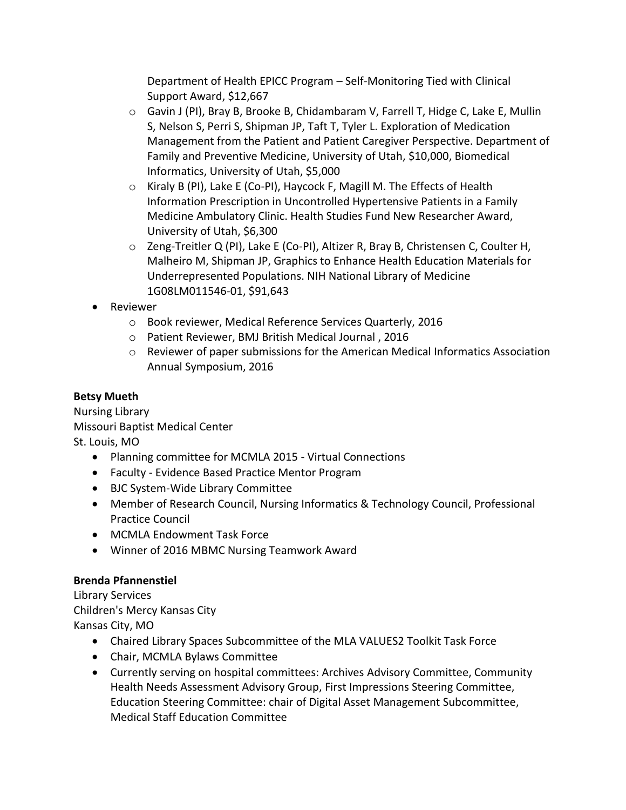Department of Health EPICC Program – Self-Monitoring Tied with Clinical Support Award, \$12,667

- o Gavin J (PI), Bray B, Brooke B, Chidambaram V, Farrell T, Hidge C, Lake E, Mullin S, Nelson S, Perri S, Shipman JP, Taft T, Tyler L. Exploration of Medication Management from the Patient and Patient Caregiver Perspective. Department of Family and Preventive Medicine, University of Utah, \$10,000, Biomedical Informatics, University of Utah, \$5,000
- o Kiraly B (PI), Lake E (Co-PI), Haycock F, Magill M. The Effects of Health Information Prescription in Uncontrolled Hypertensive Patients in a Family Medicine Ambulatory Clinic. Health Studies Fund New Researcher Award, University of Utah, \$6,300
- o Zeng-Treitler Q (PI), Lake E (Co-PI), Altizer R, Bray B, Christensen C, Coulter H, Malheiro M, Shipman JP, Graphics to Enhance Health Education Materials for Underrepresented Populations. NIH National Library of Medicine 1G08LM011546-01, \$91,643
- Reviewer
	- o Book reviewer, Medical Reference Services Quarterly, 2016
	- o Patient Reviewer, BMJ British Medical Journal , 2016
	- o Reviewer of paper submissions for the American Medical Informatics Association Annual Symposium, 2016

# **Betsy Mueth**

Nursing Library Missouri Baptist Medical Center St. Louis, MO

- Planning committee for MCMLA 2015 Virtual Connections
- Faculty Evidence Based Practice Mentor Program
- BJC System-Wide Library Committee
- Member of Research Council, Nursing Informatics & Technology Council, Professional Practice Council
- MCMLA Endowment Task Force
- Winner of 2016 MBMC Nursing Teamwork Award

# **Brenda Pfannenstiel**

Library Services Children's Mercy Kansas City Kansas City, MO

- Chaired Library Spaces Subcommittee of the MLA VALUES2 Toolkit Task Force
- Chair, MCMLA Bylaws Committee
- Currently serving on hospital committees: Archives Advisory Committee, Community Health Needs Assessment Advisory Group, First Impressions Steering Committee, Education Steering Committee: chair of Digital Asset Management Subcommittee, Medical Staff Education Committee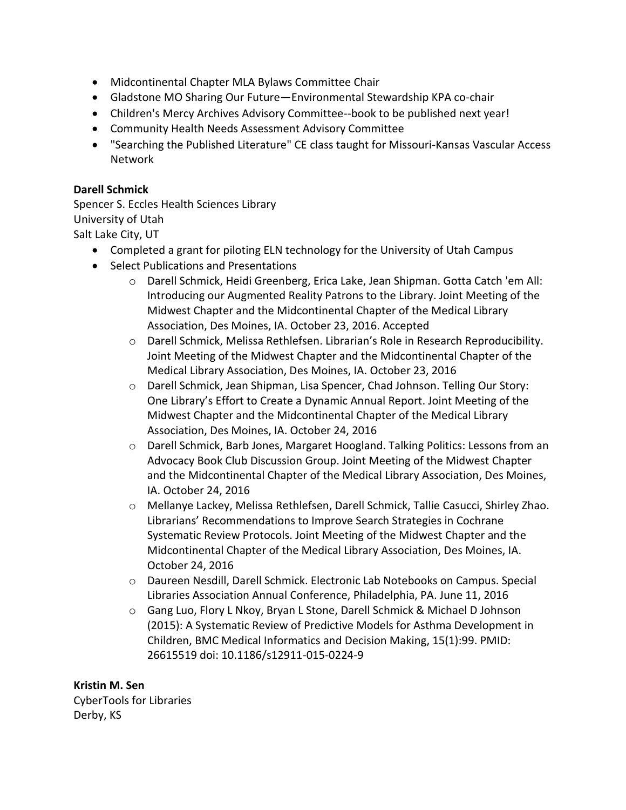- Midcontinental Chapter MLA Bylaws Committee Chair
- Gladstone MO Sharing Our Future—Environmental Stewardship KPA co-chair
- Children's Mercy Archives Advisory Committee--book to be published next year!
- Community Health Needs Assessment Advisory Committee
- "Searching the Published Literature" CE class taught for Missouri-Kansas Vascular Access Network

#### **Darell Schmick**

Spencer S. Eccles Health Sciences Library University of Utah Salt Lake City, UT

- Completed a grant for piloting ELN technology for the University of Utah Campus
- Select Publications and Presentations
	- o Darell Schmick, Heidi Greenberg, Erica Lake, Jean Shipman. Gotta Catch 'em All: Introducing our Augmented Reality Patrons to the Library. Joint Meeting of the Midwest Chapter and the Midcontinental Chapter of the Medical Library Association, Des Moines, IA. October 23, 2016. Accepted
	- o Darell Schmick, Melissa Rethlefsen. Librarian's Role in Research Reproducibility. Joint Meeting of the Midwest Chapter and the Midcontinental Chapter of the Medical Library Association, Des Moines, IA. October 23, 2016
	- o Darell Schmick, Jean Shipman, Lisa Spencer, Chad Johnson. Telling Our Story: One Library's Effort to Create a Dynamic Annual Report. Joint Meeting of the Midwest Chapter and the Midcontinental Chapter of the Medical Library Association, Des Moines, IA. October 24, 2016
	- o Darell Schmick, Barb Jones, Margaret Hoogland. Talking Politics: Lessons from an Advocacy Book Club Discussion Group. Joint Meeting of the Midwest Chapter and the Midcontinental Chapter of the Medical Library Association, Des Moines, IA. October 24, 2016
	- o Mellanye Lackey, Melissa Rethlefsen, Darell Schmick, Tallie Casucci, Shirley Zhao. Librarians' Recommendations to Improve Search Strategies in Cochrane Systematic Review Protocols. Joint Meeting of the Midwest Chapter and the Midcontinental Chapter of the Medical Library Association, Des Moines, IA. October 24, 2016
	- o Daureen Nesdill, Darell Schmick. Electronic Lab Notebooks on Campus. Special Libraries Association Annual Conference, Philadelphia, PA. June 11, 2016
	- o Gang Luo, Flory L Nkoy, Bryan L Stone, Darell Schmick & Michael D Johnson (2015): A Systematic Review of Predictive Models for Asthma Development in Children, BMC Medical Informatics and Decision Making, 15(1):99. PMID: 26615519 doi: 10.1186/s12911-015-0224-9

**Kristin M. Sen** CyberTools for Libraries Derby, KS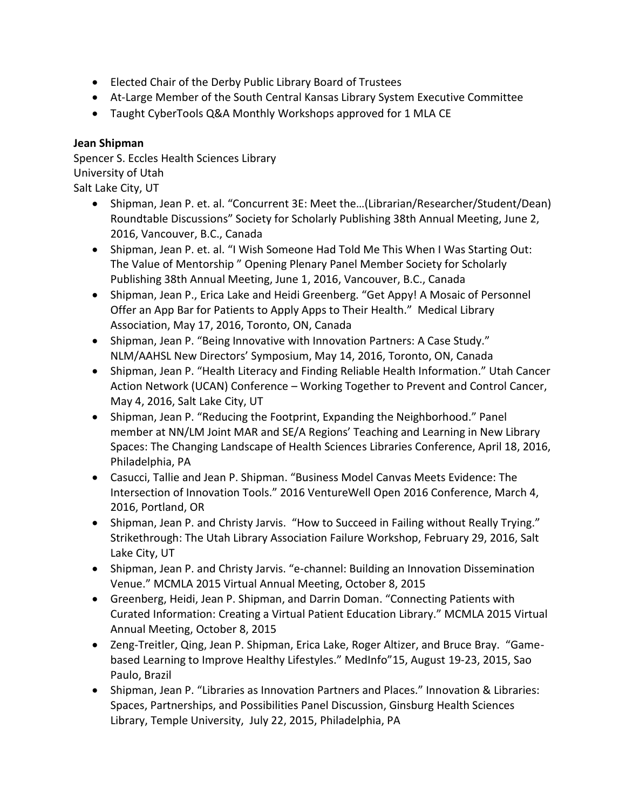- Elected Chair of the Derby Public Library Board of Trustees
- At-Large Member of the South Central Kansas Library System Executive Committee
- Taught CyberTools Q&A Monthly Workshops approved for 1 MLA CE

### **Jean Shipman**

Spencer S. Eccles Health Sciences Library University of Utah Salt Lake City, UT

- Shipman, Jean P. et. al. "Concurrent 3E: Meet the…(Librarian/Researcher/Student/Dean) Roundtable Discussions" Society for Scholarly Publishing 38th Annual Meeting, June 2, 2016, Vancouver, B.C., Canada
- Shipman, Jean P. et. al. "I Wish Someone Had Told Me This When I Was Starting Out: The Value of Mentorship " Opening Plenary Panel Member Society for Scholarly Publishing 38th Annual Meeting, June 1, 2016, Vancouver, B.C., Canada
- Shipman, Jean P., Erica Lake and Heidi Greenberg. "Get Appy! A Mosaic of Personnel Offer an App Bar for Patients to Apply Apps to Their Health." Medical Library Association, May 17, 2016, Toronto, ON, Canada
- Shipman, Jean P. "Being Innovative with Innovation Partners: A Case Study." NLM/AAHSL New Directors' Symposium, May 14, 2016, Toronto, ON, Canada
- Shipman, Jean P. "Health Literacy and Finding Reliable Health Information." Utah Cancer Action Network (UCAN) Conference – Working Together to Prevent and Control Cancer, May 4, 2016, Salt Lake City, UT
- Shipman, Jean P. "Reducing the Footprint, Expanding the Neighborhood." Panel member at NN/LM Joint MAR and SE/A Regions' Teaching and Learning in New Library Spaces: The Changing Landscape of Health Sciences Libraries Conference, April 18, 2016, Philadelphia, PA
- Casucci, Tallie and Jean P. Shipman. "Business Model Canvas Meets Evidence: The Intersection of Innovation Tools." 2016 VentureWell Open 2016 Conference, March 4, 2016, Portland, OR
- Shipman, Jean P. and Christy Jarvis. "How to Succeed in Failing without Really Trying." Strikethrough: The Utah Library Association Failure Workshop, February 29, 2016, Salt Lake City, UT
- Shipman, Jean P. and Christy Jarvis. "e-channel: Building an Innovation Dissemination Venue." MCMLA 2015 Virtual Annual Meeting, October 8, 2015
- Greenberg, Heidi, Jean P. Shipman, and Darrin Doman. "Connecting Patients with Curated Information: Creating a Virtual Patient Education Library." MCMLA 2015 Virtual Annual Meeting, October 8, 2015
- Zeng-Treitler, Qing, Jean P. Shipman, Erica Lake, Roger Altizer, and Bruce Bray. "Gamebased Learning to Improve Healthy Lifestyles." MedInfo"15, August 19-23, 2015, Sao Paulo, Brazil
- Shipman, Jean P. "Libraries as Innovation Partners and Places." Innovation & Libraries: Spaces, Partnerships, and Possibilities Panel Discussion, Ginsburg Health Sciences Library, Temple University, July 22, 2015, Philadelphia, PA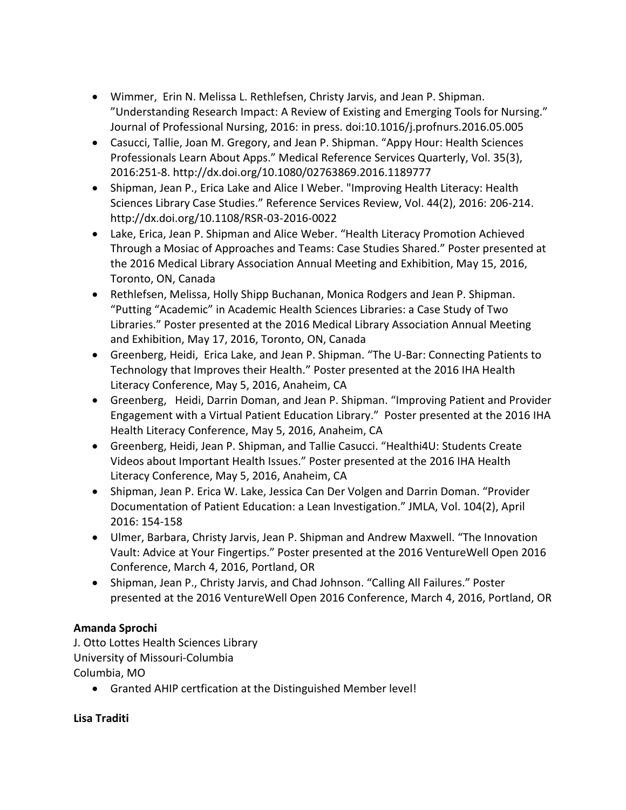- Wimmer, Erin N. Melissa L. Rethlefsen, Christy Jarvis, and Jean P. Shipman. "Understanding Research Impact: A Review of Existing and Emerging Tools for Nursing." Journal of Professional Nursing, 2016: in press. doi:10.1016/j.profnurs.2016.05.005
- Casucci, Tallie, Joan M. Gregory, and Jean P. Shipman. "Appy Hour: Health Sciences Professionals Learn About Apps." Medical Reference Services Quarterly, Vol. 35(3), 2016:251-8. http://dx.doi.org/10.1080/02763869.2016.1189777
- Shipman, Jean P., Erica Lake and Alice I Weber. "Improving Health Literacy: Health Sciences Library Case Studies." Reference Services Review, Vol. 44(2), 2016: 206-214. http://dx.doi.org/10.1108/RSR-03-2016-0022
- Lake, Erica, Jean P. Shipman and Alice Weber. "Health Literacy Promotion Achieved Through a Mosiac of Approaches and Teams: Case Studies Shared." Poster presented at the 2016 Medical Library Association Annual Meeting and Exhibition, May 15, 2016, Toronto, ON, Canada
- Rethlefsen, Melissa, Holly Shipp Buchanan, Monica Rodgers and Jean P. Shipman. "Putting "Academic" in Academic Health Sciences Libraries: a Case Study of Two Libraries." Poster presented at the 2016 Medical Library Association Annual Meeting and Exhibition, May 17, 2016, Toronto, ON, Canada
- Greenberg, Heidi, Erica Lake, and Jean P. Shipman. "The U-Bar: Connecting Patients to Technology that Improves their Health." Poster presented at the 2016 IHA Health Literacy Conference, May 5, 2016, Anaheim, CA
- Greenberg, Heidi, Darrin Doman, and Jean P. Shipman. "Improving Patient and Provider Engagement with a Virtual Patient Education Library." Poster presented at the 2016 IHA Health Literacy Conference, May 5, 2016, Anaheim, CA
- Greenberg, Heidi, Jean P. Shipman, and Tallie Casucci. "Healthi4U: Students Create Videos about Important Health Issues." Poster presented at the 2016 IHA Health Literacy Conference, May 5, 2016, Anaheim, CA
- Shipman, Jean P. Erica W. Lake, Jessica Can Der Volgen and Darrin Doman. "Provider Documentation of Patient Education: a Lean Investigation." JMLA, Vol. 104(2), April 2016: 154-158
- Ulmer, Barbara, Christy Jarvis, Jean P. Shipman and Andrew Maxwell. "The Innovation Vault: Advice at Your Fingertips." Poster presented at the 2016 VentureWell Open 2016 Conference, March 4, 2016, Portland, OR
- Shipman, Jean P., Christy Jarvis, and Chad Johnson. "Calling All Failures." Poster presented at the 2016 VentureWell Open 2016 Conference, March 4, 2016, Portland, OR

# **Amanda Sprochi**

J. Otto Lottes Health Sciences Library University of Missouri-Columbia Columbia, MO

Granted AHIP certfication at the Distinguished Member level!

**Lisa Traditi**